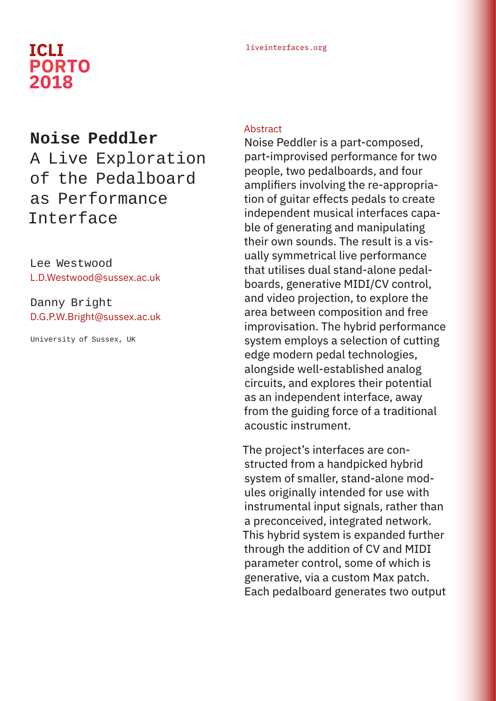# liveinterfaces.org **ICLI PORTO 2018**

## **Noise Peddler**

A Live Exploration of the Pedalboard as Performance Interface

Lee Westwood L.D.Westwood@sussex.ac.uk

Danny Bright D.G.P.W.Bright@sussex.ac.uk

University of Sussex, UK

### Abstract

Noise Peddler is a part-composed, part-improvised performance for two people, two pedalboards, and four amplifiers involving the re-appropriation of guitar effects pedals to create independent musical interfaces capable of generating and manipulating their own sounds. The result is a visually symmetrical live performance that utilises dual stand-alone pedalboards, generative MIDI/CV control, and video projection, to explore the area between composition and free improvisation. The hybrid performance system employs a selection of cutting edge modern pedal technologies, alongside well-established analog circuits, and explores their potential as an independent interface, away from the guiding force of a traditional acoustic instrument.

The project's interfaces are constructed from a handpicked hybrid system of smaller, stand-alone modules originally intended for use with instrumental input signals, rather than a preconceived, integrated network. This hybrid system is expanded further through the addition of CV and MIDI parameter control, some of which is generative, via a custom Max patch. Each pedalboard generates two output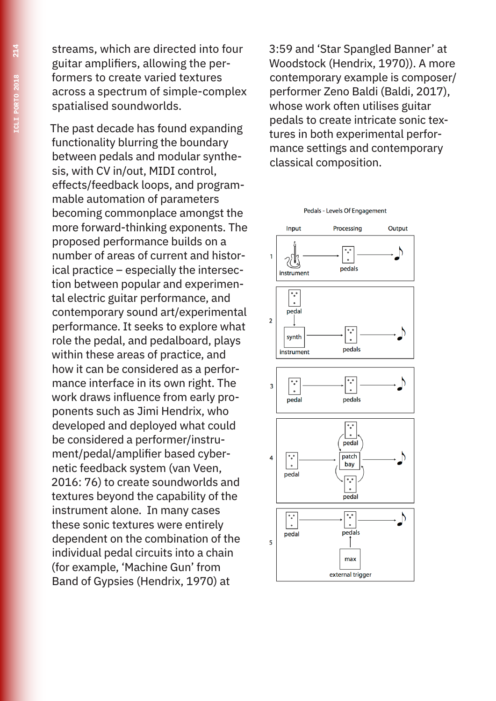streams, which are directed into four guitar amplifiers, allowing the performers to create varied textures across a spectrum of simple-complex spatialised soundworlds.

The past decade has found expanding functionality blurring the boundary between pedals and modular synthesis, with CV in/out, MIDI control, effects/feedback loops, and programmable automation of parameters becoming commonplace amongst the more forward-thinking exponents. The proposed performance builds on a number of areas of current and historical practice – especially the intersection between popular and experimental electric guitar performance, and contemporary sound art/experimental performance. It seeks to explore what role the pedal, and pedalboard, plays within these areas of practice, and how it can be considered as a performance interface in its own right. The work draws influence from early proponents such as Jimi Hendrix, who developed and deployed what could be considered a performer/instrument/pedal/amplifier based cybernetic feedback system (van Veen, 2016: 76) to create soundworlds and textures beyond the capability of the instrument alone. In many cases these sonic textures were entirely dependent on the combination of the individual pedal circuits into a chain (for example, 'Machine Gun' from Band of Gypsies (Hendrix, 1970) at

3:59 and 'Star Spangled Banner' at Woodstock (Hendrix, 1970)). A more contemporary example is composer/ performer Zeno Baldi (Baldi, 2017), whose work often utilises guitar pedals to create intricate sonic textures in both experimental performance settings and contemporary classical composition.